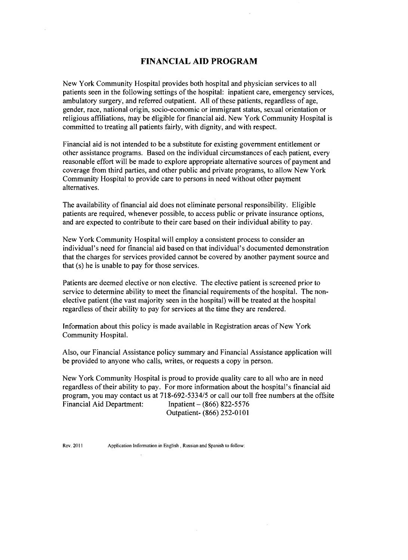# **FINANCIAL AID PROGRAM**

New York Community Hospital provides both hospital and physician services to all patients seen in the following settings of the hospital: inpatient care, emergency services, ambulatory surgery, and referred outpatient. All of these patients, regardless of age, gender, race, national origin, socio-economic or immigrant status, sexual orientation or religious affiliations, tnay be eligible for financial aid. New York Community Hospital is committed to treating all patients fairly, with dignity, and with respect.

Financial aid is not intended to be a substitute for existing government entitlement or other assistance programs. Based on the individual circumstances of each patient, every reasonable effort will be made to explore appropriate alternative sources of payment and coverage from third parties, and other public and private programs, to allow New York Community Hospital to provide care to persons in need without other payment alternatives.

The availability of financial aid does not eliminate personal responsibility. Eligible patients are required, whenever possible, to access public or private insurance options, and are expected to contribute to their care based on their individual ability to pay.

New York Community Hospital will employ a consistent process to consider an individual's need for financial aid based on that individual's documented demonstration that the charges for services provided cannot be covered by another payment source and that (s) he is unable to pay for those services.

Patients are deemed elective or non elective. The elective patient is screened prior to service to determine ability to meet the financial requirements of the hospital. The nonelective patient (the vast majority seen in the hospital) will be treated at the hospital regardless of their ability to pay for services at the time they are rendered.

Information about this policy is made available in Registration areas of New York Community Hospital.

Also, our Financial Assistance policy summary and Financial Assistance application will be provided to anyone who calls, writes, or requests a copy in person.

New York Community Hospital is proud to provide quality care to all who are in need regardless oftheir ability to pay. For more information about the hospital's financial aid program, you may contact us at *718-692-5334/5* or call our toll free numbers at the offsite Financial Aid Department: Inpatient - (866) 822-5576 Outpatient- (866) 252-0101

 $\sim$ 

Rev. 2011 Application Infonnation in English, Russian and Spanish to follow: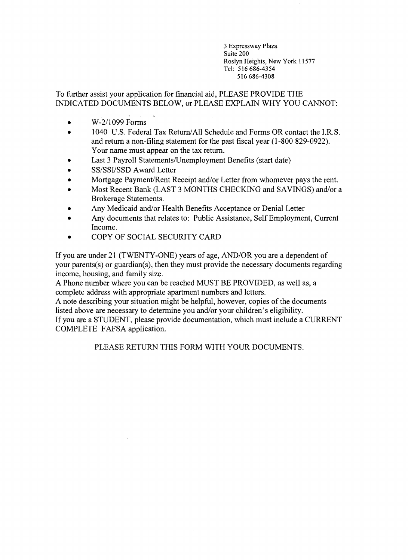3 Expressway Plaza Suite 200 Roslyn Heights, New York 11577 Tel: 516686-4354 516 686-4308

To further assist your application for financial aid, PLEASE PROVIDE THE INDICATED DOCUMENTS BELOW, or PLEASE EXPLAIN WHY YOU CANNOT:

- $\bullet$  W-2/1099 Forms
- 1040 U.S. Federal Tax Return/All Schedule and Forms OR contact the I.R.S. and return a non-filing statement for the past fiscal year (1-800 829-0922). Your name must appear on the tax return.
- Last 3 Payroll Statements/Unemployment Benefits (start date)
- SS/SSI/SSD Award Letter
- Mortgage Payment/Rent Receipt and/or Letter from whomever pays the rent.
- Most Recent Bank (LAST 3 MONTHS CHECKING and SAVINGS) and/or a Brokerage Statements.
- Any Medicaid and/or Health Benefits Acceptance or Denial Letter
- Any documents that relates to: Public Assistance, Self Employment, Current Income.
- COPY OF SOCIAL SECURITY CARD

If you are under 21 (TWENTY-ONE) years of age, AND/OR you are a dependent of your parents(s) or guardian(s), then they must provide the necessary documents regarding income, housing, and family size.

A Phone number where you can be reached MUST BE PROVIDED, as well as, a complete address with appropriate apartment numbers and letters.

A note describing your situation might be helpful, however, copies of the documents listed above are necessary to determine you and/or your children's eligibility. If you are a STUDENT, please provide documentation, which must include a CURRENT

COMPLETE FAFSA application.

PLEASE RETURN THIS FORM WITH YOUR DOCUMENTS.

 $\mathcal{L}$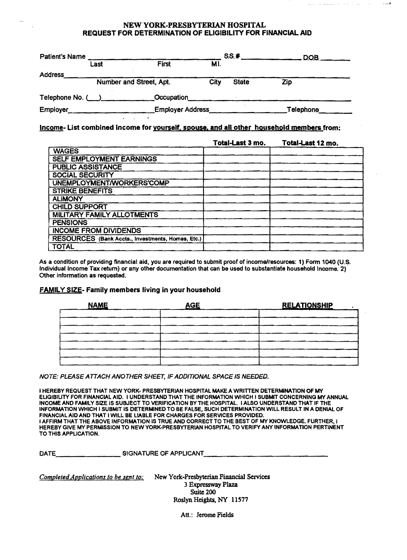#### NEW YORK·PRESBYTERIAN HOSPITAL REQUEST FOR DETERMINATION OF ELIGIBILITY FOR FINANCIAL AID

 $\hat{z}$  is  $\hat{z}$  .  $\hat{z}$ 

أأنحا الصعابط للمراجع المتعلقة

و<br>و جارا به

| <b>Patient's Name</b> | Last | <b>First</b>            | MI.  | SS.#         | $DOB$ <sub>--</sub> |  |
|-----------------------|------|-------------------------|------|--------------|---------------------|--|
| <b>Address</b>        |      | Number and Street, Apt. | City | <b>State</b> | Zip                 |  |
| Telephone No. (       |      | Occupation              |      |              |                     |  |
| Employer              |      | <b>Employer Address</b> |      |              | Telephone           |  |

Income- List combined income for yourself. spouse. and all other household members from:

|                                                   | Total-Last 3 mo. | Total-Last 12 mo. |
|---------------------------------------------------|------------------|-------------------|
| <b>WAGES</b>                                      |                  |                   |
| <b>SELF EMPLOYMENT EARNINGS</b>                   |                  |                   |
| <b>PUBLIC ASSISTANCE</b>                          |                  |                   |
| <b>SOCIAL SECURITY</b>                            |                  |                   |
| UNEMPLOYMENT/WORKERS'COMP                         |                  |                   |
| <b>STRIKE BENEFITS</b>                            |                  |                   |
| <b>ALIMONY</b>                                    |                  |                   |
| <b>CHILD SUPPORT</b>                              |                  |                   |
| <b>MILITARY FAMILY ALLOTMENTS</b>                 |                  |                   |
| <b>PENSIONS</b>                                   |                  |                   |
| <b>INCOME FROM DIVIDENDS</b>                      |                  |                   |
| RESOURCES (Bank Accts., Investments, Homes, Etc.) |                  |                   |
| <b>TOTAL</b>                                      |                  |                   |

As a condition of providing financial aid, you are required to submit proof of income/resources: 1) Form 1040 (U.S. Individual Income Tax retum) or any other documentation that can be used to substantiate household Income. 2) other information as requested.

# FAMILY SIZE- Family members living in your household

| <b>NAME</b> | <b>AGE</b> | <b>RELATIONSHIP</b> |
|-------------|------------|---------------------|
|             |            |                     |
|             |            |                     |
|             |            |                     |
|             |            |                     |
|             |            |                     |
|             |            |                     |

NOTE: PLEASE A TTACH ANOTHER SHEET, IF ADDITIONAL SPACE IS NEEDED.

I HEREBY REQUEST THAT NEW YORK- PRESBYTERIAN HOSPITAL MAKE A WRITTEN DETERMINATION OF MY ELIGIBILITY FOR FINANCIAL AID. I UNDERSTAND THAT THE INFORMATION WHICH I SUBMIT CONCERNING MY ANNUAL INCOME AND FAMILY SIZE IS SUBJECT TO VERIFICATION BY THE HOSPITAL. I ALSO UNDERSTAND THAT IF THE INFORMATION WHICH I SUBMIT IS DETERMINED TO BE FALSE, SUCH DETERMINATION WILL RESULT IN A DENIAL OF FINANCIAL AID AND THAT I WILL BE LIABLE FOR CHARGES FOR SERVICES PROVIDED. I AFFIRM THAT THE ABOVE INFORMATION IS TRUE AND CORRECT TO THE BEST OF MY KNOWLEDGE. FURTHER, I HEREBY GIVE MY PERMISSION TO NEW YORK-PRESBYTERIAN HOSPITAL TO VERIFY ANY INFORMATION PERTINENT TO THIS APPLICATION.

DATEc..--\_\_\_\_\_\_\_\_ SIGNATURE OF APPLICANT \_\_\_\_\_\_\_\_\_\_\_\_\_\_

*Completed Applications to be sent to:* New York-Presbyterian Financial Services 3 Expressway Plaza Suite 200 Roslyn Heights, NY 11577

Att.: Jerome Fields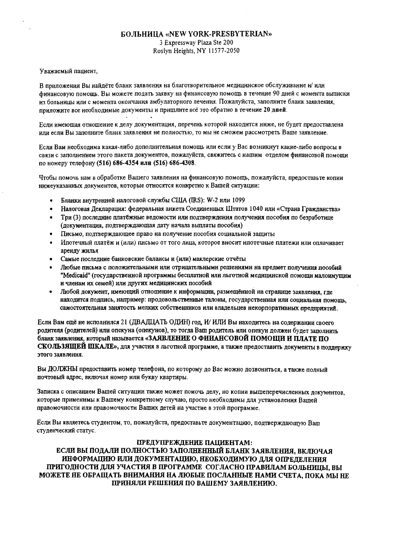## **БОЛЬНИЦА «NEW YORK-PRESBYTERIAN»** 3 Expressway Plaza Ste 200 Roslyn Heights, NY 11577-2050

#### Уважаемый пациент,

В приложении Вы найдёте бланк заявления на благотворительное медицинское обслуживание и/ или финансовую помощь. Вы можете подать заявку на финансовую помощь в течение 90 дней с момента выписки из больницы или с момента окончания амбулаторного лечения. Пожалуйста, заполните бланк заявления, приложите все необходимые документы и пришлите всё это обратно в течение 20 дней.

Если имеющая отношение к делу документация, перечень которой находится ниже, не будет предоставлена или если Вы заполните бланк заявления не полностью, то мы не сможем рассмотреть Ваше заявление.

Если Вам необходима какая-либо дополнительная помощь или если у Вас возникнут какие-либо вопросы в связи с заполнением этого пакета документов, пожалуйста, свяжитесь с нашим отделом финансовой помощи по номеру телефону (516) 686-4354 или (516) 686-4308.

Чтобы помочь нам в обработке Вашего заявления на финансовую помощь, пожалуйста, предоставьте копии нижеуказанных документов, которые относятся конкретно к Вашей ситуации:

- Бланки внутренней налоговой службы США (IRS): W-2 или 1099  $\bullet$
- Налоговая Декларация: федеральная анкета Соединенных Штатов 1040 или «Страна Гражданства»
- $\bullet$ Три (3) последние платёжные ведомости или подтверждения получения пособия по безработице (документация, подтверждающая дату начала выплаты пособия)
- Письмо, подтверждающее право на получение пособия социальной защиты
- Ипотечный платёж и (или) письмо от того лица, которое вносит ипотечные платежи или оплачивает аренду жилья
- Самые последние банковские балансы и (или) маклерские отчёты
- Любые письма с положительными или отрицательными решениями на предмет получения пособий "Medicaid" (государственной программы бесплатной или льготной медицинской помощи малоимущим и членам их семей) или других медицинских пособий
- Любой документ, имеющий отношение к информации, размещённой на странице заявления, гле находится подпись, например: продовольственные талоны, государственная или социальная помощь. самостоятельная занятость мелких собственников или владельцев некорпоративных предприятий.

Если Вам ещё не исполнился 21 (ДВАДЦАТЬ ОДИН) год, И/ ИЛИ Вы находитесь на содержании своего родителя (родителей) или опекуна (опекунов), то тогда Ваш родитель или опекун должен будет заполнить бланк заявления, который называется «ЗАЯВЛЕНИЕ О ФИНАНСОВОЙ ПОМОЩИ И ПЛАТЕ ПО СКОЛЬЗЯЩЕЙ ШКАЛЕ», для участия в льготной программе, а также предоставить документы в поллержку этого заявления.

Вы ДОЛЖНЫ предоставить номер телефона, по которому до Вас можно дозвониться, а также полный почтовый адрес, включая номер или букву квартиры.

Записка с описанием Вашей ситуации также может помочь делу, но копии вышеперечисленных документов. которые применимы к Вашему конкретному случаю, просто необходимы для установления Вашей правомочности или правомочности Ваших детей на участие в этой программе.

Если Вы являетесь студентом, то, пожалуйста, предоставьте документацию, подтверждающую Ваш студенческий статус.

#### ПРЕДУПРЕЖДЕНИЕ ПАЦИЕНТАМ:

ЕСЛИ ВЫ ПОДАЛИ ПОЛНОСТЬЮ ЗАПОЛНЕННЫЙ БЛАНК ЗАЯВЛЕНИЯ, ВКЛЮЧАЯ ИНФОРМАЦИЮ ИЛИ ДОКУМЕНТАЦИЮ, НЕОБХОДИМУЮ ДЛЯ ОПРЕДЕЛЕНИЯ ПРИГОДНОСТИ ДЛЯ УЧАСТИЯ В ПРОГРАММЕ СОГЛАСНО ПРАВИЛАМ БОЛЬНИЦЫ, ВЫ МОЖЕТЕ НЕ ОБРАЩАТЬ ВНИМАНИЯ НА ЛЮБЫЕ ПОСЛАННЫЕ НАМИ СЧЕТА, ПОКА МЫ НЕ ПРИНЯЛИ РЕШЕНИЯ ПО ВАШЕМУ ЗАЯВЛЕНИЮ.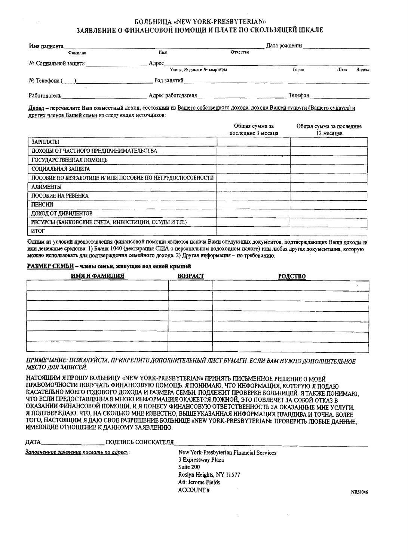#### БОЛЬНИЦА «NEW YORK-PRESBYTERIAN» ЗАЯВЛЕНИЕ О ФИНАНСОВОЙ ПОМОЩИ И ПЛАТЕ ПО СКОЛЬЗЯЩЕЙ ШКАЛЕ

| Имя папиента                                        |                            | Дата рождения |         |      |        |  |
|-----------------------------------------------------|----------------------------|---------------|---------|------|--------|--|
| <b><i><u><b><i><u>DRMEDITES</u></i></b></u></i></b> | Имя                        | Отчество      |         |      |        |  |
| № Социальной защиты                                 | Amec                       |               |         |      |        |  |
|                                                     | Улица. № дома и № квартиры |               | Город   | Штат | Индекс |  |
| № Телефона (                                        | Род занятий                |               |         |      |        |  |
| Работодатель                                        | Адрес работодателя         |               | Телефон |      |        |  |

Доход - перечислите Ваш совместный доход, состоящий из Вашего собственного дохода, дохода Вашей супруги (Вашего супруга) и других членов Вашей семьи из следующих источников:

|                                                            | Общая сумма за<br>последние 3 месяца | Общая сумма за последние<br>12 месяцев |
|------------------------------------------------------------|--------------------------------------|----------------------------------------|
| ЗАРПЛАТЫ                                                   |                                      |                                        |
| ДОХОДЫ ОТ ЧАСТНОГО ПРЕДПРИНИМАТЕЛЬСТВА                     |                                      |                                        |
| ГОСУДАРСТВЕННАЯ ПОМОШЬ                                     |                                      |                                        |
| СОЦИАЛЬНАЯ ЗАЩИТА                                          |                                      |                                        |
| ПОСОБИЕ ПО БЕЗРАБОТИЛЕ И ИЛИ ПОСОБИЕ ПО НЕТРУДОСПОСОБНОСТИ |                                      |                                        |
| <b>AJIMMEHTLI</b>                                          |                                      |                                        |
| ПОСОБИЕ НА РЕБЕНКА                                         |                                      |                                        |
| ПЕНСИИ                                                     |                                      |                                        |
| ДОХОД ОТ ДИВИДЕНТОВ                                        |                                      |                                        |
| РЕСУРСЫ (БАНКОВСКИЕ СЧЕТА, ИНВЕСТИЦИИ, ССУДЫ И Т.П.)       |                                      |                                        |
| итог                                                       |                                      |                                        |

Одним из условий предоставления финансовой помощи является подача Вами следующих документов, подтверждающих Ваши доходы н/ или денежные средства: 1) Бланк 1040 (декларация США о персональном подоходном налоге) или любая другая документация, которую можно использовать для подтверждения семейного дохода. 2) Другая информация - по требованию.

#### РАЗМЕР СЕМЬИ - члены семьи, живущие под одной крышей

| <u>имя и фамилия</u> | <b>BO3PACT</b> | <b>РОДСТВО</b> |
|----------------------|----------------|----------------|
|                      |                |                |
|                      |                |                |
|                      |                |                |
|                      |                |                |
|                      |                |                |
|                      |                |                |
|                      |                |                |

ПРИМЕЧАНИЕ: ПОЖАЛУЙСТА, ПРИКРЕПИТЕ ДОПОЛНИТЕЛЬНЫЙ ЛИСТ БУМАГИ, ЕСЛИ ВАМ НУЖНО ДОПОЛНИТЕЛЬНОЕ МЕСТО ДЛЯ ЗАПИСЕЙ.

НАТОЯЩИМ Я ПРОШУ БОЛЬНИЦУ «NEW YORK-PRESBYTERIAN» ПРИНЯТЬ ПИСЬМЕННОЕ РЕШЕНИЕ О МОЕЙ ПРАВОМОЧНОСТИ ПОЛУЧАТЬ ФИНАНСОВУЮ ПОМОЩЬ. Я ПОНИМАЮ, ЧТО ИНФОРМАЦИЯ, КОТОРУЮ Я ПОДАЮ КАСАТЕЛЬНО МОЕГО ГОДОВОГО ДОХОДА И РАЗМЕРА СЕМЬИ, ПОДЛЕЖИТ ПРОВЕРКЕ БОЛЬНИЦЕЙ. Я ТАКЖЕ ПОНИМАЮ, ЧТО ЕСЛИ ПРЕДОСТАВЛЕННАЯ МНОЮ ИНФОРМАЦИЯ ОКАЖЕТСЯ ЛОЖНОЙ, ЭТО ПОВЛЕЧЕТ ЗА СОБОЙ ОТКАЗ В ОКАЗАНИИ ФИНАНСОВОЙ ПОМОЩИ, И Я ПОНЕСУ ФИНАНСОВУЮ ОТВЕТСТВЕННОСТЬ ЗА ОКАЗАННЫЕ МНЕ УСЛУГИ. Я ПОДТВЕРЖДАЮ, ЧТО, НА СКОЛЬКО МНЕ ИЗВЕСТНО, ВЫШЕУКАЗАННАЯ ИНФОРМАЦИЯ ПРАВДИВА И ТОЧНА. БОЛЕЕ ТОГО, НАСТОЯЩИМ Я ДАЮ СВОЕ РАЗРЕШЕНИЕ БОЛЬНИЦЕ «NEW YORK-PRESBYTERIAN» ПРОВЕРИТЬ ЛЮБЫЕ ДАННЫЕ. ИМЕЮЩИЕ ОТНОШЕНИЕ К ДАННОМУ ЗАЯВЛЕНИЮ.

ПОДПИСЬ СОИСКАТЕЛЯ ДАТА

Заполненное заявление послать по адресу:

New York-Presbyterian Financial Services 3 Expressway Plaza Suite 200 Roslyn Heights, NY 11577 Att: Jerome Fields **ACCOUNT#** 

**NRS1046**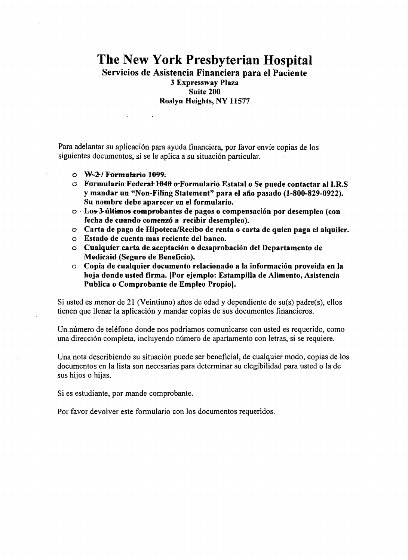# **The New York Presbyterian Hospital**

Servicios de Asistencia Financiera para el Paciente

3 Expressway Plaza Suite 200 Roslyn Heights, NY 11577

Para adelantar su aplicación para ayuda financiera, por favor envíe copias de los siguientes documentos, si se le aplica a su situación particular.

 $\circ$  W-2/ Formulario 1099.

 $\mathcal{L}(\mathbf{x})$  and  $\mathcal{L}(\mathbf{x})$  .

 $\mathcal{A}$ 

- *a*  Formulario·.Federat·1&40 o"Formulario Estatal 0 Se puede contactar al I.R.S y mandar un "Non-Filing Statement" para el aiio pasado (1-800-829-0922). Su nombre debe aparecer en el formulario.
- o . ·Los-3-ultimoseompl"ooantes de pagos 0 compensaci6n por desempleo (con fecha de cuando comenzó a recibir desempleo).
- o Carta de pago de HipotecaIRecibo de renta 0 carta de quien paga el alquiler.
- o Estado de cuenta mas reciente del banco.
- <sup>Q</sup> Cualquier.carta deaceptacion 0 desaprobacion del Departamento de Medicaid (Seguro de Beneficio).
- o Copia de cualquier documento relacionado a la informacion proveida en la hoja donde usted firma. [Por ejemplo: Estampilla de Alimento, Asistencia Publica 0 Comprobante de Empleo Propio).

Si usted es menor de 21 (Veintiuno) años de edad y dependiente de  $su(s)$  padre $(s)$ , ellos tienen que llenar la aplicacion y mandar copias de sus documentos financieros.

Un.numero de telefono donde nos podriamos comunicarse con usted es requerido, como una dirección completa, incluyendo número de apartamento con letras, si se requiere.

Una nota describiendo su situación puede ser beneficial, de cualquier modo, copias de los documentos en la lista son necesarias para determinar su elegibilidad para usted 0 la de sus hijos 0 hijas.

Si es estudiante, por mande comprobante.

Por favor devolver este formulario con los documentos requeridos.